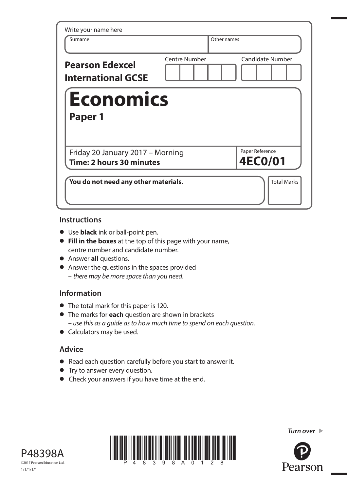| Write your name here<br>Surname                              | Other names                                     |
|--------------------------------------------------------------|-------------------------------------------------|
| <b>Pearson Edexcel</b><br><b>International GCSE</b>          | <b>Centre Number</b><br><b>Candidate Number</b> |
| <b>Economics</b>                                             |                                                 |
| Paper 1                                                      |                                                 |
| Friday 20 January 2017 - Morning<br>Time: 2 hours 30 minutes | Paper Reference<br><b>4EC0/01</b>               |

### **Instructions**

- **•** Use **black** ink or ball-point pen.
- **• Fill in the boxes** at the top of this page with your name, centre number and candidate number.
- **•** Answer **all** questions.
- **•** Answer the questions in the spaces provided – there may be more space than you need.

# **Information**

- **•** The total mark for this paper is 120.
- **•** The marks for **each** question are shown in brackets – use this as a guide as to how much time to spend on each question.
- **•** Calculators may be used.

# **Advice**

- **•** Read each question carefully before you start to answer it.
- **•** Try to answer every question.
- **•** Check your answers if you have time at the end.







**Turn over Turn over**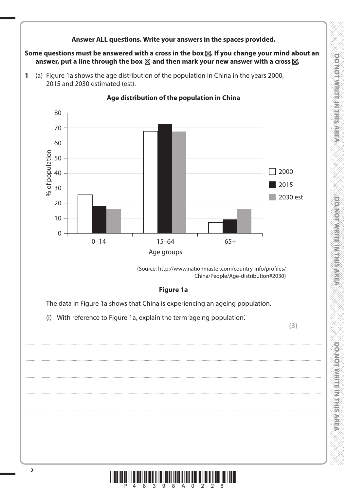

Some questions must be answered with a cross in the box  $\boxtimes$ . If you change your mind about an answer, put a line through the box  $\boxtimes$  and then mark your new answer with a cross  $\boxtimes$ .

(a) Figure 1a shows the age distribution of the population in China in the years 2000,  $\mathbf{1}$ 2015 and 2030 estimated (est).



### Age distribution of the population in China

(Source: http://www.nationmaster.com/country-info/profiles/ China/People/Age-distribution#2030)

### **Figure 1a**

The data in Figure 1a shows that China is experiencing an ageing population.

(i) With reference to Figure 1a, explain the term 'ageing population'.

 $(3)$ 

**DOMORATIVE IN THE MARKET** 

**DONOTOWRITEINITHS AREA** 

**DOMOTOWRITERING** 

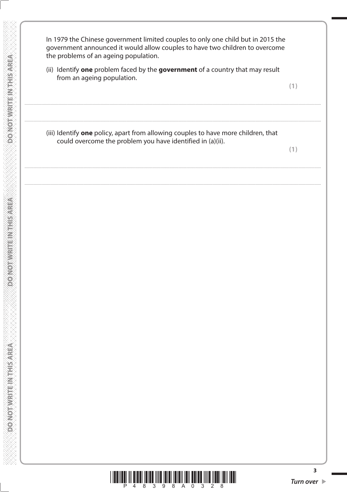In 1979 the Chinese government limited couples to only one child but in 2015 the government announced it would allow couples to have two children to overcome the problems of an ageing population.

(ii) Identify one problem faced by the government of a country that may result from an ageing population.

**DO NOTAWRITEINTHIS AREA** 

**DONOT WRITEINTHIS AREA** 

**DO NOT WRITEIN THIS AREA** 

(iii) Identify one policy, apart from allowing couples to have more children, that could overcome the problem you have identified in (a)(ii).

 $(1)$ 

 $(1)$ 



 $\overline{\mathbf{3}}$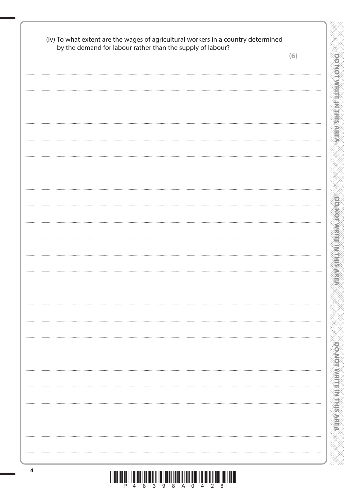| by the demand for labour rather than the supply of labour? | (6) |
|------------------------------------------------------------|-----|
|                                                            |     |
|                                                            |     |
|                                                            |     |
|                                                            |     |
|                                                            |     |
|                                                            |     |
|                                                            |     |
|                                                            |     |
|                                                            |     |
|                                                            |     |
|                                                            |     |
|                                                            |     |
|                                                            |     |
|                                                            |     |
|                                                            |     |
|                                                            |     |
|                                                            |     |
|                                                            |     |
|                                                            |     |
|                                                            |     |
|                                                            |     |
|                                                            |     |
|                                                            |     |
|                                                            |     |
|                                                            |     |
|                                                            |     |
|                                                            |     |
|                                                            |     |
|                                                            |     |
|                                                            |     |
|                                                            |     |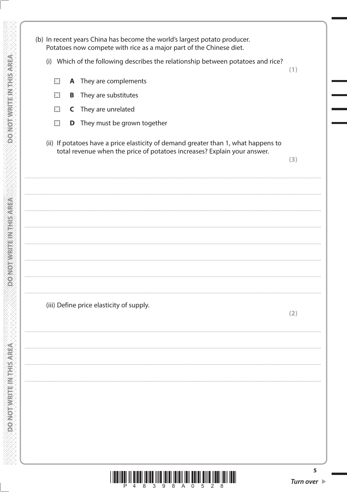(b) In recent years China has become the world's largest potato producer. Potatoes now compete with rice as a major part of the Chinese diet. (i) Which of the following describes the relationship between potatoes and rice?  $(1)$  $\times$ A They are complements  $\times$ They are substitutes B They are unrelated  $\boxtimes$  $\mathsf{C}$  $\boxtimes$ **D** They must be grown together (ii) If potatoes have a price elasticity of demand greater than 1, what happens to total revenue when the price of potatoes increases? Explain your answer.  $(3)$ (iii) Define price elasticity of supply.  $(2)$ 

**DO WOT WRITEIN THIS AREA** 

**DOMORWEIGHNERS** 

**DO NOTVIGHEINGHIS AREA** 



5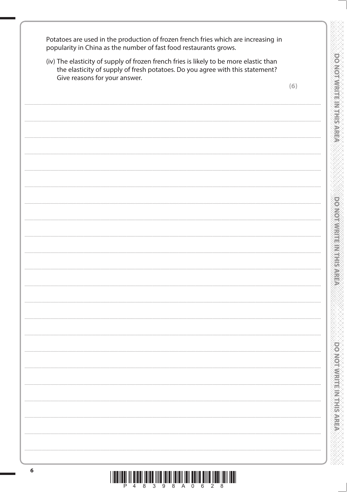Potatoes are used in the production of frozen french fries which are increasing in popularity in China as the number of fast food restaurants grows.

| Give reasons for your answer. |     |
|-------------------------------|-----|
|                               | (6) |
|                               |     |
|                               |     |
|                               |     |
|                               |     |
|                               |     |
|                               |     |
|                               |     |
|                               |     |
|                               |     |
|                               |     |
|                               |     |
|                               |     |
|                               |     |
|                               |     |
|                               |     |
|                               |     |
|                               |     |
|                               |     |
|                               |     |
|                               |     |
|                               |     |
|                               |     |
|                               |     |
|                               |     |
|                               |     |
|                               |     |
|                               |     |
|                               |     |
|                               |     |
|                               |     |
|                               |     |
|                               |     |
|                               |     |
|                               |     |
|                               |     |
|                               |     |
|                               |     |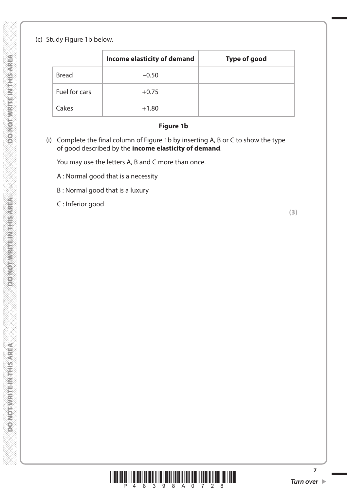### (c) Study Figure 1b below.

|               | <b>Income elasticity of demand</b> | <b>Type of good</b> |
|---------------|------------------------------------|---------------------|
| <b>Bread</b>  | $-0.50$                            |                     |
| Fuel for cars | $+0.75$                            |                     |
| Cakes         | $+1.80$                            |                     |

#### **Figure 1b**

 (i) Complete the final column of Figure 1b by inserting A, B or C to show the type of good described by the **income elasticity of demand**.

You may use the letters A, B and C more than once.

- A : Normal good that is a necessity
- B : Normal good that is a luxury

C : Inferior good

**(3)**



**7**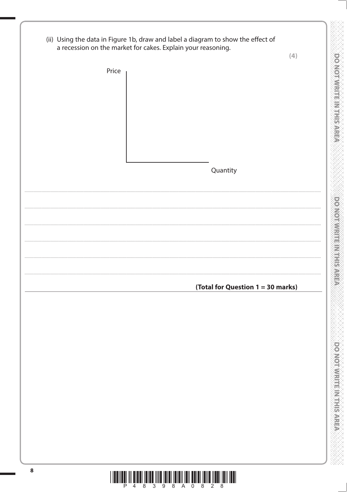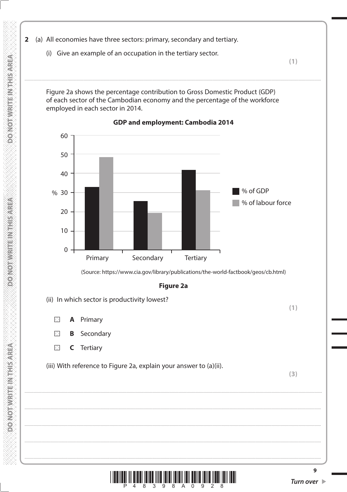- 2 (a) All economies have three sectors: primary, secondary and tertiary.
	- (i) Give an example of an occupation in the tertiary sector.

 $(1)$ 

Figure 2a shows the percentage contribution to Gross Domestic Product (GDP) of each sector of the Cambodian economy and the percentage of the workforce employed in each sector in 2014.



GDP and employment: Cambodia 2014

(Source: https://www.cia.gov/library/publications/the-world-factbook/geos/cb.html)

**Figure 2a** 

- (ii) In which sector is productivity lowest?
	- $\times$ A Primary

**SERVER WEEK WARD CONSOLO** 

**PONOTAL TENNESS OF** 

**DO NOT WRITEIN THIS AREA** 

- $\times$ Secondary B
- $\boxtimes$  $\mathsf C$ **Tertiary**

(iii) With reference to Figure 2a, explain your answer to (a)(ii).

 $(3)$ 

 $(1)$ 



 $\overline{9}$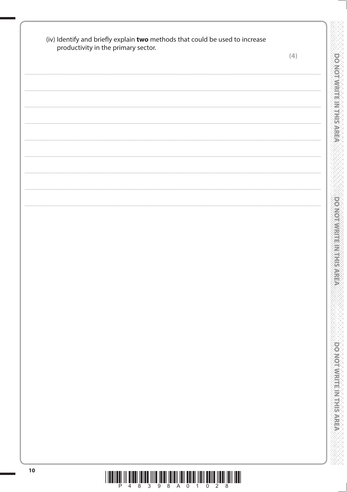| productivity in the primary sector. | (4) |
|-------------------------------------|-----|
|                                     |     |
|                                     |     |
|                                     |     |
|                                     |     |
|                                     |     |
|                                     |     |
|                                     |     |
|                                     |     |
|                                     |     |
|                                     |     |
|                                     |     |
|                                     |     |
|                                     |     |
|                                     |     |
|                                     |     |
|                                     |     |
|                                     |     |
|                                     |     |
|                                     |     |
|                                     |     |
|                                     |     |
|                                     |     |
|                                     |     |
|                                     |     |
|                                     |     |
|                                     |     |
|                                     |     |
|                                     |     |
|                                     |     |
|                                     |     |
|                                     |     |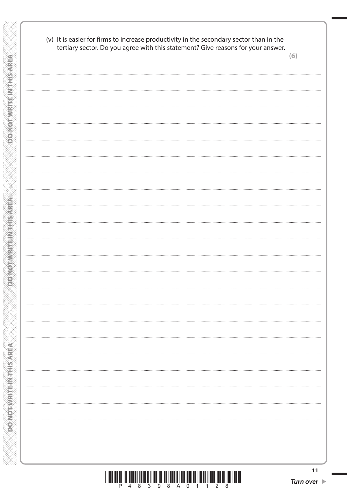|  | tertiary sector. Do you agree with this statement? Give reasons for your answer. | (6) |
|--|----------------------------------------------------------------------------------|-----|
|  |                                                                                  |     |
|  |                                                                                  |     |
|  |                                                                                  |     |
|  |                                                                                  |     |
|  |                                                                                  |     |
|  |                                                                                  |     |
|  |                                                                                  |     |
|  |                                                                                  |     |
|  |                                                                                  |     |
|  |                                                                                  |     |
|  |                                                                                  |     |
|  |                                                                                  |     |
|  |                                                                                  |     |
|  |                                                                                  |     |
|  |                                                                                  |     |
|  |                                                                                  |     |
|  |                                                                                  |     |
|  |                                                                                  |     |
|  |                                                                                  |     |
|  |                                                                                  |     |
|  |                                                                                  |     |
|  |                                                                                  |     |
|  |                                                                                  |     |
|  |                                                                                  |     |
|  |                                                                                  |     |
|  |                                                                                  |     |
|  |                                                                                  |     |
|  |                                                                                  |     |

**DO NOT WRITE IN THIS AREA** 

**PONOTWEITEINTHISMEA** 

**DO NOT WRITE IN THIS AREA** 

**NANANANANANANANANANAN** 

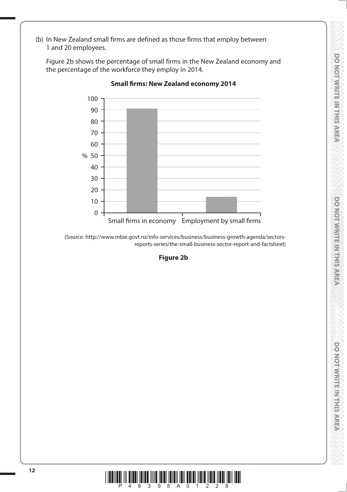**DOVIOTIVISTIS NATIONAL DOMOTIVIES INTERNATION DO NOTMARTINATISMS** 

 (b) In New Zealand small firms are defined as those firms that employ between 1 and 20 employees.

 Figure 2b shows the percentage of small firms in the New Zealand economy and the percentage of the workforce they employ in 2014.



**Small firms: New Zealand economy 2014**

(Source: http://www.mbie.govt.nz/info-services/business/business-growth-agenda/sectorsreports-series/the-small-business-sector-report-and-factsheet)

**Figure 2b**

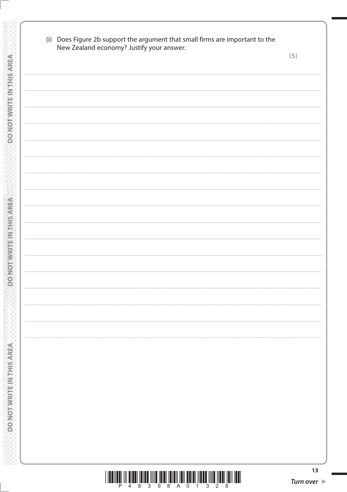| New Zealand economy? Justify your answer. | (5) |
|-------------------------------------------|-----|
|                                           |     |
|                                           |     |
|                                           |     |
|                                           |     |
|                                           |     |
|                                           |     |
|                                           |     |
|                                           |     |
|                                           |     |
|                                           |     |
|                                           |     |
|                                           |     |
|                                           |     |
|                                           |     |
|                                           |     |
|                                           |     |
|                                           |     |

**DONOT WRITE INTHIS AREA** 

**PONOTWEITEINTHISMEN** 

**DO NOT WRITE IN THIS AREA** 

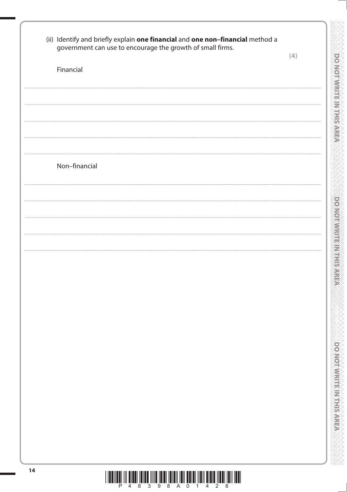| government can use to encourage the growth of small firms. | (4) |
|------------------------------------------------------------|-----|
| Financial                                                  |     |
|                                                            |     |
|                                                            |     |
|                                                            |     |
|                                                            |     |
| Non-financial                                              |     |
|                                                            |     |
|                                                            |     |
|                                                            |     |
|                                                            |     |
|                                                            |     |
|                                                            |     |
|                                                            |     |
|                                                            |     |
|                                                            |     |
|                                                            |     |
|                                                            |     |
|                                                            |     |
|                                                            |     |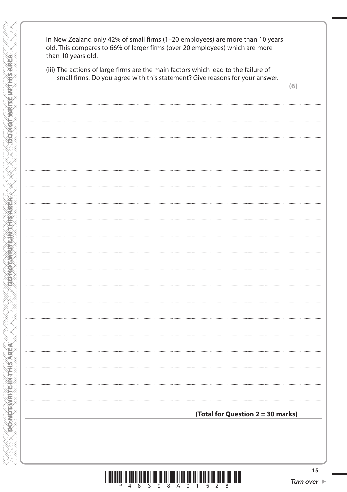| In New Zealand only 42% of small firms (1-20 employees) are more than 10 years<br>old. This compares to 66% of larger firms (over 20 employees) which are more<br>than 10 years old.<br>(iii) The actions of large firms are the main factors which lead to the failure of<br>small firms. Do you agree with this statement? Give reasons for your answer. | (6) |
|------------------------------------------------------------------------------------------------------------------------------------------------------------------------------------------------------------------------------------------------------------------------------------------------------------------------------------------------------------|-----|
|                                                                                                                                                                                                                                                                                                                                                            |     |
|                                                                                                                                                                                                                                                                                                                                                            |     |
|                                                                                                                                                                                                                                                                                                                                                            |     |
|                                                                                                                                                                                                                                                                                                                                                            |     |
|                                                                                                                                                                                                                                                                                                                                                            |     |
|                                                                                                                                                                                                                                                                                                                                                            |     |
|                                                                                                                                                                                                                                                                                                                                                            |     |
|                                                                                                                                                                                                                                                                                                                                                            |     |
|                                                                                                                                                                                                                                                                                                                                                            |     |
|                                                                                                                                                                                                                                                                                                                                                            |     |
|                                                                                                                                                                                                                                                                                                                                                            |     |
| (Total for Question 2 = 30 marks)                                                                                                                                                                                                                                                                                                                          |     |
|                                                                                                                                                                                                                                                                                                                                                            |     |

**DO NOT WRITE IN THIS AREA** 

**DO NOT WRITE IN THIS AREA** 

**DO NOT WRITE IN THIS AREA** 



 $15$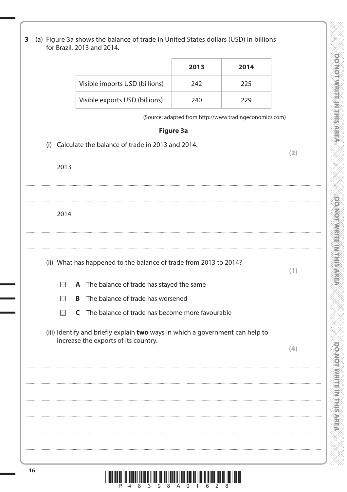|          |                                                                               | 2013 | 2014                                                   |     |
|----------|-------------------------------------------------------------------------------|------|--------------------------------------------------------|-----|
|          | Visible imports USD (billions)                                                | 242  | 225                                                    |     |
|          | Visible exports USD (billions)                                                | 240  | 229                                                    |     |
|          |                                                                               |      | (Source: adapted from http://www.tradingeconomics.com) |     |
|          | <b>Figure 3a</b>                                                              |      |                                                        |     |
| (i)      | Calculate the balance of trade in 2013 and 2014.                              |      |                                                        |     |
| 2013     |                                                                               |      |                                                        | (2) |
|          |                                                                               |      |                                                        |     |
|          |                                                                               |      |                                                        |     |
|          |                                                                               |      |                                                        |     |
| 2014     |                                                                               |      |                                                        |     |
|          |                                                                               |      |                                                        |     |
|          |                                                                               |      |                                                        |     |
|          | (ii) What has happened to the balance of trade from 2013 to 2014?             |      |                                                        | (1) |
| $\times$ | A The balance of trade has stayed the same                                    |      |                                                        |     |
| X        | The balance of trade has worsened<br>B                                        |      |                                                        |     |
| $\times$ | The balance of trade has become more favourable<br>C                          |      |                                                        |     |
|          | (iii) Identify and briefly explain two ways in which a government can help to |      |                                                        |     |
|          | increase the exports of its country.                                          |      |                                                        | (4) |
|          |                                                                               |      |                                                        |     |
|          |                                                                               |      |                                                        |     |
|          |                                                                               |      |                                                        |     |
|          |                                                                               |      |                                                        |     |
|          |                                                                               |      |                                                        |     |
|          |                                                                               |      |                                                        |     |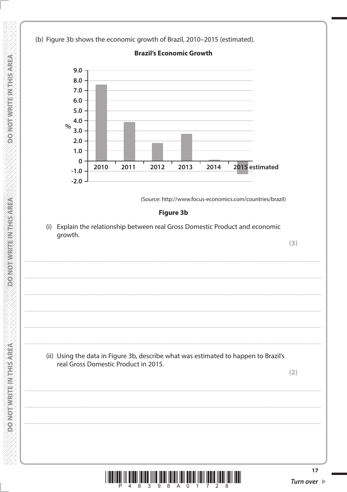(b) Figure 3b shows the economic growth of Brazil, 2010-2015 (estimated).



**Brazil's Economic Growth** 

(i) Explain the relationship between real Gross Domestic Product and economic growth.

(ii) Using the data in Figure 3b, describe what was estimated to happen to Brazil's real Gross Domestic Product in 2015.

 $(2)$ 

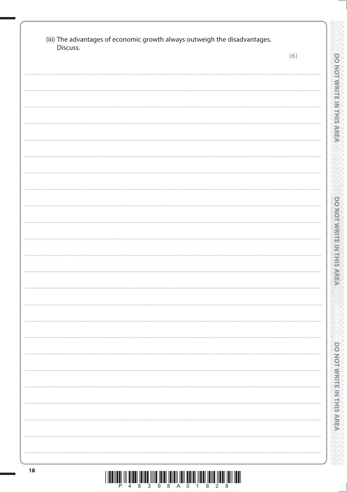| Discuss. |     |
|----------|-----|
|          | (6) |
|          |     |
|          |     |
|          |     |
|          |     |
|          |     |
|          |     |
|          |     |
|          |     |
|          |     |
|          |     |
|          |     |
|          |     |
|          |     |
|          |     |
|          |     |
|          |     |
|          |     |
|          |     |
|          |     |
|          |     |
|          |     |
|          |     |
|          |     |
|          |     |
|          |     |
|          |     |
|          |     |
|          |     |
|          |     |
|          |     |
|          |     |
|          |     |
|          |     |
|          |     |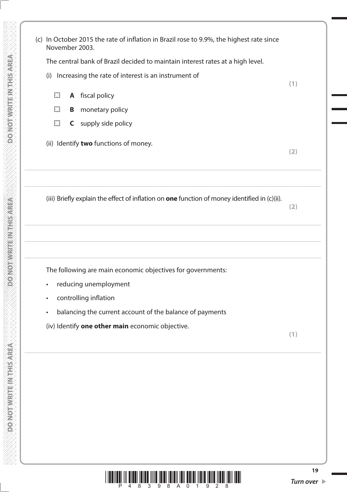|          |   | November 2003.<br>The central bank of Brazil decided to maintain interest rates at a high level. |     |
|----------|---|--------------------------------------------------------------------------------------------------|-----|
|          |   | (i) Increasing the rate of interest is an instrument of                                          | (1) |
| $\times$ |   | <b>A</b> fiscal policy                                                                           |     |
| $\times$ | B | monetary policy                                                                                  |     |
| $\times$ |   | <b>C</b> supply side policy                                                                      |     |
|          |   | (ii) Identify two functions of money.                                                            | (2) |
|          |   | (iii) Briefly explain the effect of inflation on one function of money identified in (c)(ii).    |     |
|          |   |                                                                                                  | (2) |
|          |   | The following are main economic objectives for governments:<br>reducing unemployment             |     |
|          |   | controlling inflation                                                                            |     |
|          |   | balancing the current account of the balance of payments                                         |     |

**DO NOT WRITE IN THIS AREA** 

**DOMOTWERE INTHIS AFEA** 

DO NOT WRITE IN THIS AREA

**NANAN NANAN NANAN NANAN NANAN NANAN** 

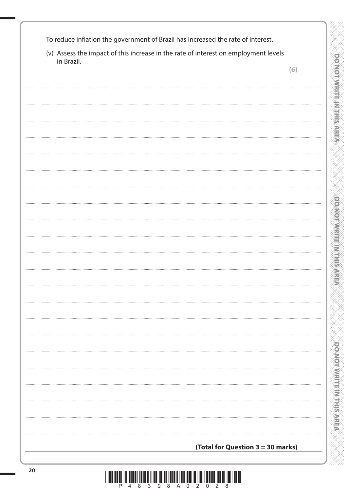| To reduce inflation the government of Brazil has increased the rate of interest. |  |
|----------------------------------------------------------------------------------|--|
|----------------------------------------------------------------------------------|--|

(v) Assess the impact of this increase in the rate of interest on employment levels in Brazil.

 $(6)$ 

**MENTASTERWIE ARMADINOGI** 

**Dowomwritism Environment** 

**DONOIMARTEMARTSAREA** 

(Total for Question 3 = 30 marks) <u>I ILDIILÜ III İLDI ÜLLÜ İIII ÎDID ÜLDI ÜLDI ÜDID ÖDID İLDI ÜLDI ÜLDI İLDI </u>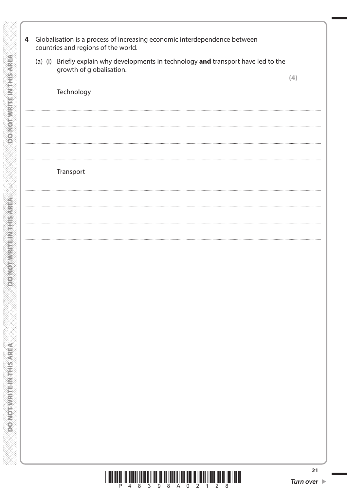| Technology<br>Transport |  |
|-------------------------|--|
|                         |  |
|                         |  |
|                         |  |
|                         |  |
|                         |  |
|                         |  |
|                         |  |
|                         |  |
|                         |  |

**DOMOTWRITE INTHISAREA** 

**DONORMANE IN THIS AREA** 

**OR AN ARRIVERS WATHIS AREA**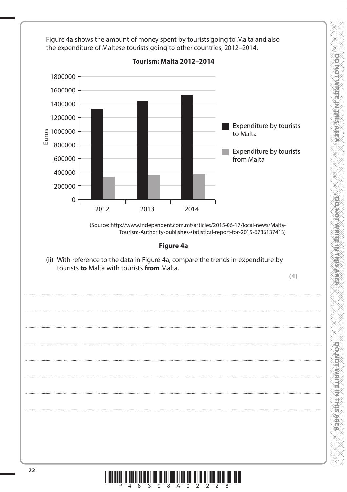

**DOWOTWRITERNESS REP** 

**DOOMORAL RESERVED IS A FEBRUARY** 

DONODWRIENSTRISSER

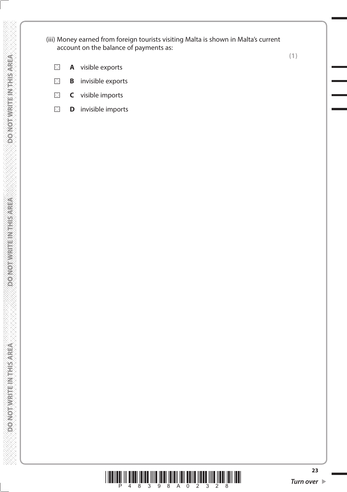(iii) Money earned from foreign tourists visiting Malta is shown in Malta's current account on the balance of payments as:

**(1)**

- **A** visible exports  $\boxtimes$
- **B** invisible exports  $\boxtimes$
- $\boxtimes$ **C** visible imports
- $\boxtimes$ **D** invisible imports



DO NOT WRITE IN THIS AREA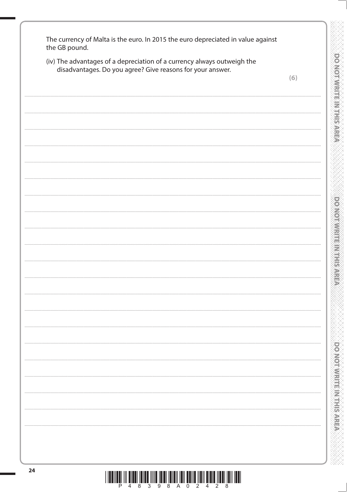| the GB pound.<br>(iv) The advantages of a depreciation of a currency always outweigh the |                                                            |     |  |  |
|------------------------------------------------------------------------------------------|------------------------------------------------------------|-----|--|--|
|                                                                                          | disadvantages. Do you agree? Give reasons for your answer. | (6) |  |  |
|                                                                                          |                                                            |     |  |  |
|                                                                                          |                                                            |     |  |  |
|                                                                                          |                                                            |     |  |  |
|                                                                                          |                                                            |     |  |  |
|                                                                                          |                                                            |     |  |  |
|                                                                                          |                                                            |     |  |  |
|                                                                                          |                                                            |     |  |  |
|                                                                                          |                                                            |     |  |  |
|                                                                                          |                                                            |     |  |  |
|                                                                                          |                                                            |     |  |  |
|                                                                                          |                                                            |     |  |  |
|                                                                                          |                                                            |     |  |  |
|                                                                                          |                                                            |     |  |  |
|                                                                                          |                                                            |     |  |  |
|                                                                                          |                                                            |     |  |  |
|                                                                                          |                                                            |     |  |  |
|                                                                                          |                                                            |     |  |  |
|                                                                                          |                                                            |     |  |  |
|                                                                                          |                                                            |     |  |  |
|                                                                                          |                                                            |     |  |  |
|                                                                                          |                                                            |     |  |  |
|                                                                                          |                                                            | .   |  |  |
|                                                                                          |                                                            |     |  |  |
|                                                                                          |                                                            |     |  |  |
|                                                                                          |                                                            |     |  |  |
|                                                                                          |                                                            |     |  |  |
|                                                                                          |                                                            |     |  |  |
|                                                                                          |                                                            |     |  |  |
|                                                                                          |                                                            |     |  |  |
|                                                                                          |                                                            |     |  |  |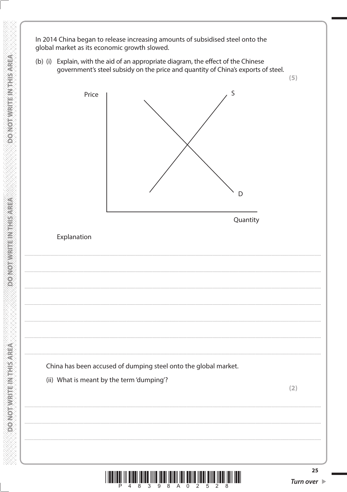In 2014 China began to release increasing amounts of subsidised steel onto the global market as its economic growth slowed.

**DO NOTAWRITEINTHIS AREA** 

**DOMORNIERE INTERSEE** 

**DO NOTAVRITEIN THIS AREA** 

(b) (i) Explain, with the aid of an appropriate diagram, the effect of the Chinese government's steel subsidy on the price and quantity of China's exports of steel.

 $(5)$ S Price D Quantity Explanation China has been accused of dumping steel onto the global market. (ii) What is meant by the term 'dumping'?  $(2)$ 25

İ III <mark>dan <sup>8</sup>ildi</mark> ild <sup>2</sup>ildi <sup>8</sup>ildi <sup>7</sup>ildi <sup>2</sup>ildi <sup>5</sup>ildi <sup>5</sup>ildi <sup>5</sup>ildi <sup>7</sup>ildi 7illi 1ill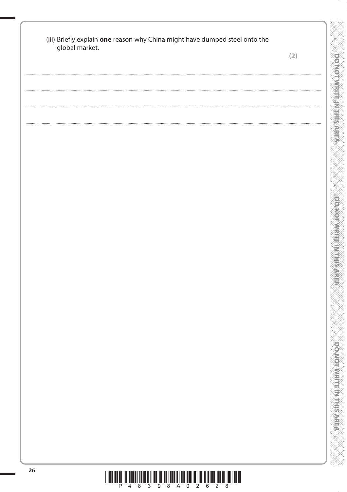| global market. |  | (2) |
|----------------|--|-----|
|                |  |     |
|                |  |     |
|                |  |     |
|                |  |     |
|                |  |     |
|                |  |     |
|                |  |     |
|                |  |     |
|                |  |     |
|                |  |     |
|                |  |     |
|                |  |     |
|                |  |     |
|                |  |     |
|                |  |     |
|                |  |     |
|                |  |     |
|                |  |     |
|                |  |     |
|                |  |     |
|                |  |     |
|                |  |     |
|                |  |     |
|                |  |     |
|                |  |     |
|                |  |     |
|                |  |     |
|                |  |     |
|                |  |     |
|                |  |     |
|                |  |     |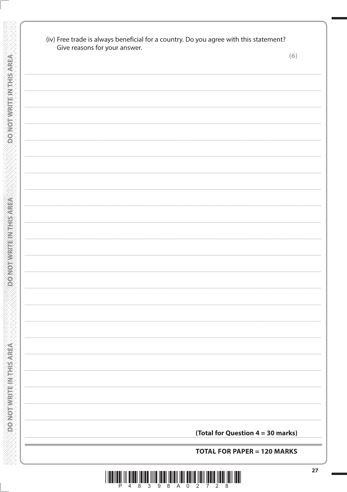| Give reasons for your answer. |                                   | (6) |
|-------------------------------|-----------------------------------|-----|
|                               |                                   |     |
|                               |                                   |     |
|                               |                                   |     |
|                               |                                   |     |
|                               |                                   |     |
|                               |                                   |     |
|                               |                                   |     |
|                               |                                   |     |
|                               |                                   |     |
|                               |                                   |     |
|                               |                                   |     |
|                               |                                   |     |
|                               |                                   |     |
|                               |                                   |     |
|                               |                                   |     |
|                               |                                   |     |
|                               |                                   |     |
|                               |                                   |     |
|                               |                                   |     |
|                               |                                   |     |
|                               |                                   |     |
|                               |                                   |     |
|                               |                                   |     |
|                               |                                   |     |
|                               |                                   |     |
|                               |                                   |     |
|                               |                                   |     |
|                               |                                   |     |
|                               |                                   |     |
|                               |                                   |     |
|                               |                                   |     |
|                               |                                   |     |
|                               | (Total for Question 4 = 30 marks) |     |

**DO NOT WRITE IN THIS AREA** 

**DONOTWEITEINTHISMEA** 

**OO NOT WRITE IN THIS AREA** 

**WWW.WWW.WWWWWWWWWWWWWWWW**